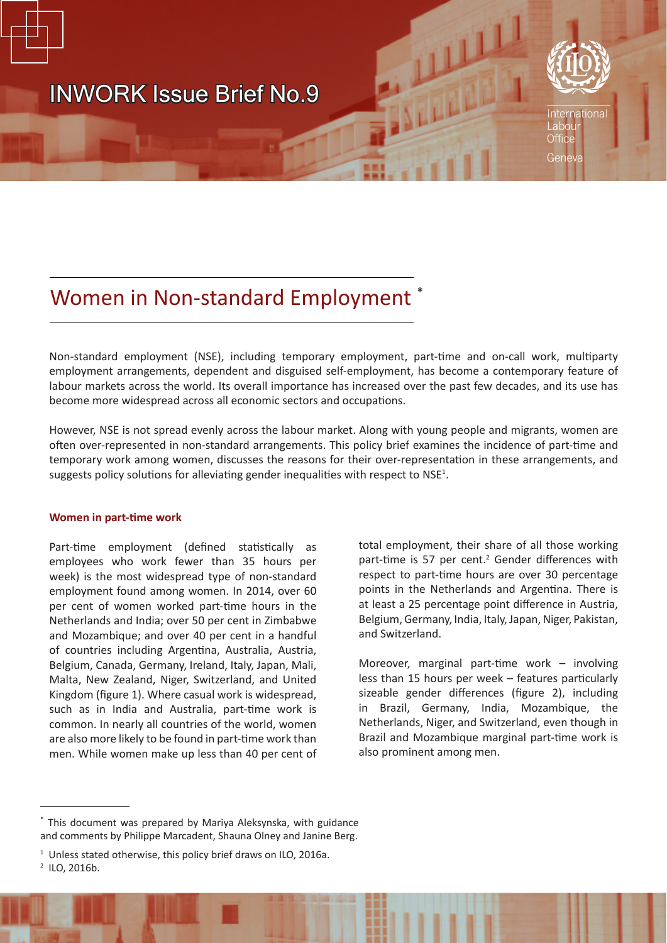

# Women in Non-standard Employment \*

Non-standard employment (NSE), including temporary employment, part-time and on-call work, multiparty employment arrangements, dependent and disguised self-employment, has become a contemporary feature of labour markets across the world. Its overall importance has increased over the past few decades, and its use has become more widespread across all economic sectors and occupations.

However, NSE is not spread evenly across the labour market. Along with young people and migrants, women are often over-represented in non-standard arrangements. This policy brief examines the incidence of part-time and temporary work among women, discusses the reasons for their over-representation in these arrangements, and suggests policy solutions for alleviating gender inequalities with respect to  $NSE<sup>1</sup>$ .

## **Women in part-time work**

Part-time employment (defined statistically as employees who work fewer than 35 hours per week) is the most widespread type of non-standard employment found among women. In 2014, over 60 per cent of women worked part-time hours in the Netherlands and India; over 50 per cent in Zimbabwe and Mozambique; and over 40 per cent in a handful of countries including Argentina, Australia, Austria, Belgium, Canada, Germany, Ireland, Italy, Japan, Mali, Malta, New Zealand, Niger, Switzerland, and United Kingdom (figure 1). Where casual work is widespread, such as in India and Australia, part-time work is common. In nearly all countries of the world, women are also more likely to be found in part-time work than men. While women make up less than 40 per cent of

total employment, their share of all those working part-time is 57 per cent.<sup>2</sup> Gender differences with respect to part-time hours are over 30 percentage points in the Netherlands and Argentina. There is at least a 25 percentage point difference in Austria, Belgium, Germany, India, Italy, Japan, Niger, Pakistan, and Switzerland.

Moreover, marginal part-time work – involving less than 15 hours per week – features particularly sizeable gender differences (figure 2), including in Brazil, Germany, India, Mozambique, the Netherlands, Niger, and Switzerland, even though in Brazil and Mozambique marginal part-time work is also prominent among men.

This document was prepared by Mariya Aleksynska, with guidance and comments by Philippe Marcadent, Shauna Olney and Janine Berg.

<sup>&</sup>lt;sup>1</sup> Unless stated otherwise, this policy brief draws on ILO, 2016a.

<sup>2</sup> ILO, 2016b.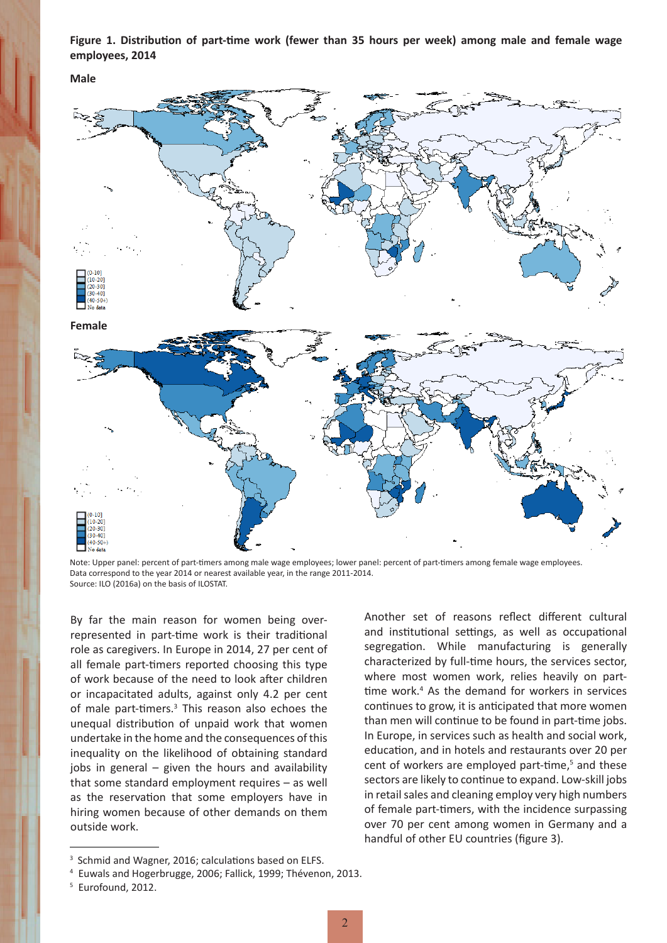**Figure 1. Distribution of part-time work (fewer than 35 hours per week) among male and female wage employees, 2014**

**Male**



Note: Upper panel: percent of part-timers among male wage employees; lower panel: percent of part-timers among female wage employees. Data correspond to the year 2014 or nearest available year, in the range 2011-2014. Source: ILO (2016a) on the basis of ILOSTAT.

By far the main reason for women being overrepresented in part-time work is their traditional role as caregivers. In Europe in 2014, 27 per cent of all female part-timers reported choosing this type of work because of the need to look after children or incapacitated adults, against only 4.2 per cent of male part-timers.<sup>3</sup> This reason also echoes the unequal distribution of unpaid work that women undertake in the home and the consequences of this inequality on the likelihood of obtaining standard jobs in general – given the hours and availability that some standard employment requires – as well as the reservation that some employers have in hiring women because of other demands on them outside work.

Another set of reasons reflect different cultural and institutional settings, as well as occupational segregation. While manufacturing is generally characterized by full-time hours, the services sector, where most women work, relies heavily on parttime work.<sup>4</sup> As the demand for workers in services continues to grow, it is anticipated that more women than men will continue to be found in part-time jobs. In Europe, in services such as health and social work, education, and in hotels and restaurants over 20 per cent of workers are employed part-time,<sup>5</sup> and these sectors are likely to continue to expand. Low-skill jobs in retail sales and cleaning employ very high numbers of female part-timers, with the incidence surpassing over 70 per cent among women in Germany and a handful of other EU countries (figure 3).

<sup>&</sup>lt;sup>3</sup> Schmid and Wagner, 2016; calculations based on ELFS.

<sup>4</sup> Euwals and Hogerbrugge, 2006; Fallick, 1999; Thévenon, 2013.

<sup>5</sup> Eurofound, 2012.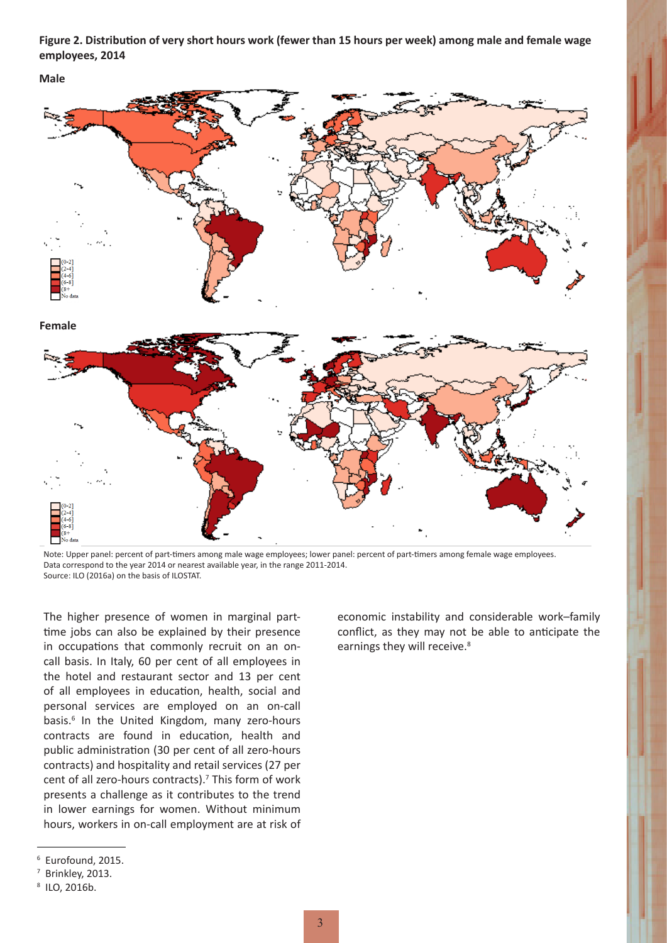**Figure 2. Distribution of very short hours work (fewer than 15 hours per week) among male and female wage employees, 2014**

**Male**



Note: Upper panel: percent of part-timers among male wage employees; lower panel: percent of part-timers among female wage employees. Data correspond to the year 2014 or nearest available year, in the range 2011-2014. Source: ILO (2016a) on the basis of ILOSTAT.

The higher presence of women in marginal parttime jobs can also be explained by their presence in occupations that commonly recruit on an oncall basis. In Italy, 60 per cent of all employees in the hotel and restaurant sector and 13 per cent of all employees in education, health, social and personal services are employed on an on-call basis.<sup>6</sup> In the United Kingdom, many zero-hours contracts are found in education, health and public administration (30 per cent of all zero-hours contracts) and hospitality and retail services (27 per cent of all zero-hours contracts).<sup>7</sup> This form of work presents a challenge as it contributes to the trend in lower earnings for women. Without minimum hours, workers in on-call employment are at risk of economic instability and considerable work–family conflict, as they may not be able to anticipate the earnings they will receive.<sup>8</sup>

<sup>6</sup> Eurofound, 2015.

<sup>7</sup> Brinkley, 2013.

<sup>8</sup> ILO, 2016b.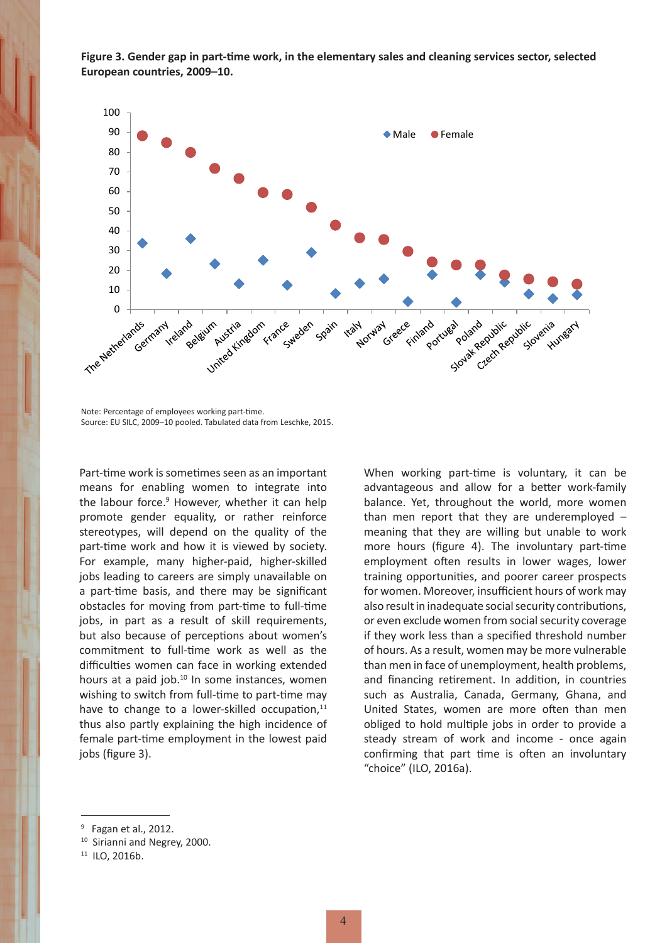

**Figure 3. Gender gap in part-time work, in the elementary sales and cleaning services sector, selected European countries, 2009–10.**

Note: Percentage of employees working part-time. Source: EU SILC, 2009–10 pooled. Tabulated data from Leschke, 2015.

Part-time work is sometimes seen as an important means for enabling women to integrate into the labour force.<sup>9</sup> However, whether it can help promote gender equality, or rather reinforce stereotypes, will depend on the quality of the part-time work and how it is viewed by society. For example, many higher-paid, higher-skilled jobs leading to careers are simply unavailable on a part-time basis, and there may be significant obstacles for moving from part-time to full-time jobs, in part as a result of skill requirements, but also because of perceptions about women's commitment to full-time work as well as the difficulties women can face in working extended hours at a paid job.<sup>10</sup> In some instances, women wishing to switch from full-time to part-time may have to change to a lower-skilled occupation, $11$ thus also partly explaining the high incidence of female part-time employment in the lowest paid jobs (figure 3).

When working part-time is voluntary, it can be advantageous and allow for a better work-family balance. Yet, throughout the world, more women than men report that they are underemployed – meaning that they are willing but unable to work more hours (figure 4). The involuntary part-time employment often results in lower wages, lower training opportunities, and poorer career prospects for women. Moreover, insufficient hours of work may also result in inadequate social security contributions, or even exclude women from social security coverage if they work less than a specified threshold number of hours. As a result, women may be more vulnerable than men in face of unemployment, health problems, and financing retirement. In addition, in countries such as Australia, Canada, Germany, Ghana, and United States, women are more often than men obliged to hold multiple jobs in order to provide a steady stream of work and income - once again confirming that part time is often an involuntary "choice" (ILO, 2016a).

 $9$  Fagan et al., 2012.

<sup>&</sup>lt;sup>10</sup> Sirianni and Negrey, 2000.

<sup>11</sup> ILO, 2016b.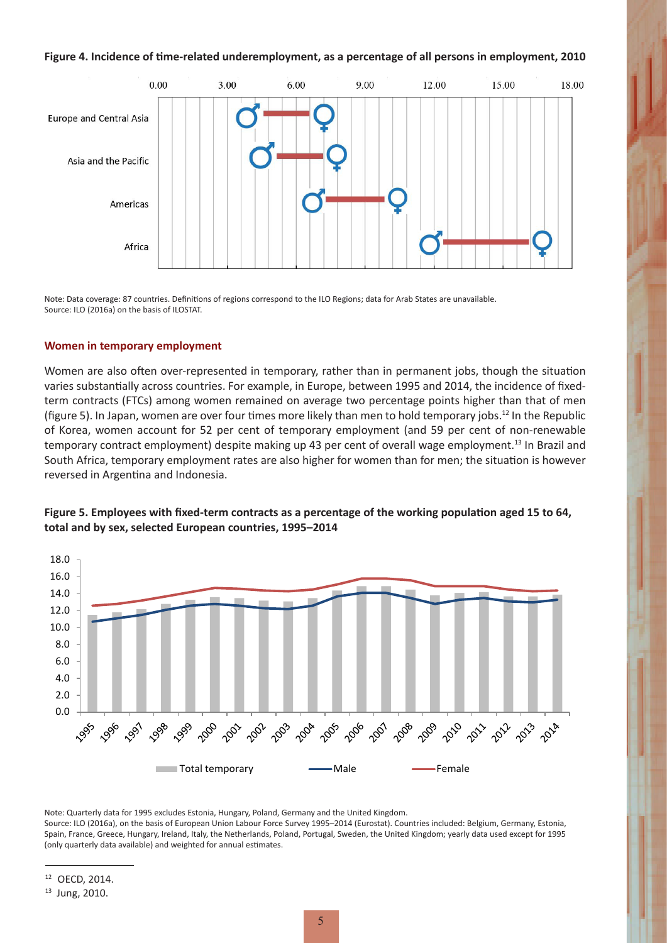#### **Figure 4. Incidence of time-related underemployment, as a percentage of all persons in employment, 2010**



Note: Data coverage: 87 countries. Definitions of regions correspond to the ILO Regions; data for Arab States are unavailable. Source: ILO (2016a) on the basis of ILOSTAT.

### **Women in temporary employment**

Women are also often over-represented in temporary, rather than in permanent jobs, though the situation varies substantially across countries. For example, in Europe, between 1995 and 2014, the incidence of fixedterm contracts (FTCs) among women remained on average two percentage points higher than that of men (figure 5). In Japan, women are over four times more likely than men to hold temporary jobs.<sup>12</sup> In the Republic of Korea, women account for 52 per cent of temporary employment (and 59 per cent of non-renewable temporary contract employment) despite making up 43 per cent of overall wage employment.<sup>13</sup> In Brazil and South Africa, temporary employment rates are also higher for women than for men; the situation is however reversed in Argentina and Indonesia.





Note: Quarterly data for 1995 excludes Estonia, Hungary, Poland, Germany and the United Kingdom.

Source: ILO (2016a), on the basis of European Union Labour Force Survey 1995–2014 (Eurostat). Countries included: Belgium, Germany, Estonia, Spain, France, Greece, Hungary, Ireland, Italy, the Netherlands, Poland, Portugal, Sweden, the United Kingdom; yearly data used except for 1995 (only quarterly data available) and weighted for annual estimates.

<sup>12</sup> OECD, 2014.

<sup>13</sup> Jung, 2010.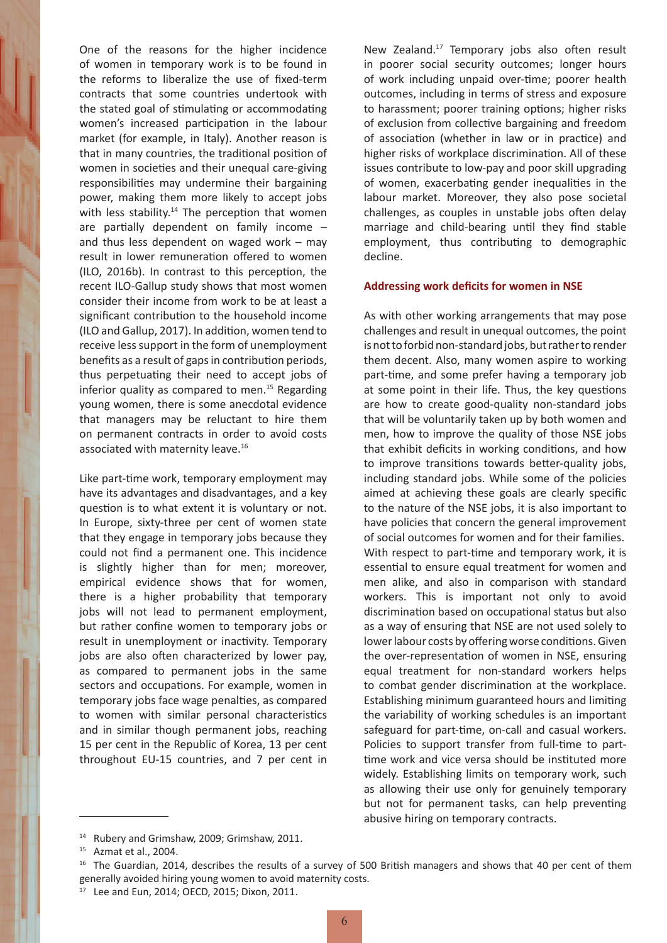One of the reasons for the higher incidence of women in temporary work is to be found in the reforms to liberalize the use of fixed-term contracts that some countries undertook with the stated goal of stimulating or accommodating women's increased participation in the labour market (for example, in Italy). Another reason is that in many countries, the traditional position of women in societies and their unequal care-giving responsibilities may undermine their bargaining power, making them more likely to accept jobs with less stability.<sup>14</sup> The perception that women are partially dependent on family income – and thus less dependent on waged work – may result in lower remuneration offered to women (ILO, 2016b). In contrast to this perception, the recent ILO-Gallup study shows that most women consider their income from work to be at least a significant contribution to the household income (ILO and Gallup, 2017). In addition, women tend to receive less support in the form of unemployment benefits as a result of gaps in contribution periods, thus perpetuating their need to accept jobs of inferior quality as compared to men.<sup>15</sup> Regarding young women, there is some anecdotal evidence that managers may be reluctant to hire them on permanent contracts in order to avoid costs associated with maternity leave.<sup>16</sup>

Like part-time work, temporary employment may have its advantages and disadvantages, and a key question is to what extent it is voluntary or not. In Europe, sixty-three per cent of women state that they engage in temporary jobs because they could not find a permanent one. This incidence is slightly higher than for men; moreover, empirical evidence shows that for women, there is a higher probability that temporary jobs will not lead to permanent employment, but rather confine women to temporary jobs or result in unemployment or inactivity. Temporary jobs are also often characterized by lower pay, as compared to permanent jobs in the same sectors and occupations. For example, women in temporary jobs face wage penalties, as compared to women with similar personal characteristics and in similar though permanent jobs, reaching 15 per cent in the Republic of Korea, 13 per cent throughout EU-15 countries, and 7 per cent in

New Zealand.<sup>17</sup> Temporary jobs also often result in poorer social security outcomes; longer hours of work including unpaid over-time; poorer health outcomes, including in terms of stress and exposure to harassment; poorer training options; higher risks of exclusion from collective bargaining and freedom of association (whether in law or in practice) and higher risks of workplace discrimination. All of these issues contribute to low-pay and poor skill upgrading of women, exacerbating gender inequalities in the labour market. Moreover, they also pose societal challenges, as couples in unstable jobs often delay marriage and child-bearing until they find stable employment, thus contributing to demographic decline.

#### **Addressing work deficits for women in NSE**

As with other working arrangements that may pose challenges and result in unequal outcomes, the point is not to forbid non-standard jobs, but rather to render them decent. Also, many women aspire to working part-time, and some prefer having a temporary job at some point in their life. Thus, the key questions are how to create good-quality non-standard jobs that will be voluntarily taken up by both women and men, how to improve the quality of those NSE jobs that exhibit deficits in working conditions, and how to improve transitions towards better-quality jobs, including standard jobs. While some of the policies aimed at achieving these goals are clearly specific to the nature of the NSE jobs, it is also important to have policies that concern the general improvement of social outcomes for women and for their families. With respect to part-time and temporary work, it is essential to ensure equal treatment for women and men alike, and also in comparison with standard workers. This is important not only to avoid discrimination based on occupational status but also as a way of ensuring that NSE are not used solely to lower labour costs by offering worse conditions. Given the over-representation of women in NSE, ensuring equal treatment for non-standard workers helps to combat gender discrimination at the workplace. Establishing minimum guaranteed hours and limiting the variability of working schedules is an important safeguard for part-time, on-call and casual workers. Policies to support transfer from full-time to parttime work and vice versa should be instituted more widely. Establishing limits on temporary work, such as allowing their use only for genuinely temporary but not for permanent tasks, can help preventing abusive hiring on temporary contracts.

<sup>&</sup>lt;sup>14</sup> Rubery and Grimshaw, 2009; Grimshaw, 2011.

<sup>15</sup> Azmat et al., 2004.

<sup>&</sup>lt;sup>16</sup> The Guardian, 2014, describes the results of a survey of 500 British managers and shows that 40 per cent of them generally avoided hiring young women to avoid maternity costs.

<sup>17</sup> Lee and Eun, 2014; OECD, 2015; Dixon, 2011.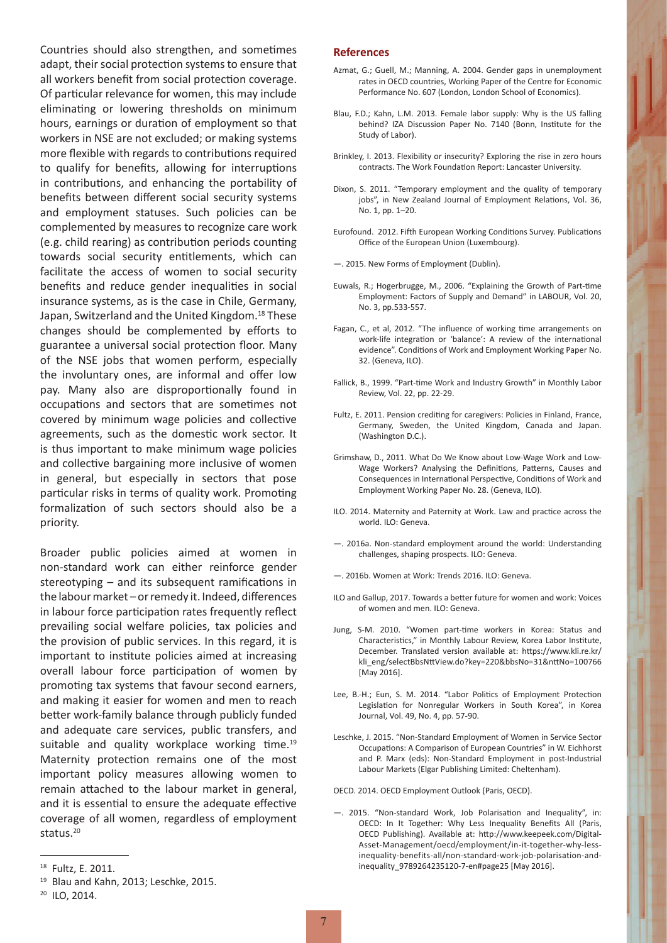Countries should also strengthen, and sometimes adapt, their social protection systems to ensure that all workers benefit from social protection coverage. Of particular relevance for women, this may include eliminating or lowering thresholds on minimum hours, earnings or duration of employment so that workers in NSE are not excluded; or making systems more flexible with regards to contributions required to qualify for benefits, allowing for interruptions in contributions, and enhancing the portability of benefits between different social security systems and employment statuses. Such policies can be complemented by measures to recognize care work (e.g. child rearing) as contribution periods counting towards social security entitlements, which can facilitate the access of women to social security benefits and reduce gender inequalities in social insurance systems, as is the case in Chile, Germany, Japan, Switzerland and the United Kingdom.<sup>18</sup> These changes should be complemented by efforts to guarantee a universal social protection floor. Many of the NSE jobs that women perform, especially the involuntary ones, are informal and offer low pay. Many also are disproportionally found in occupations and sectors that are sometimes not covered by minimum wage policies and collective agreements, such as the domestic work sector. It is thus important to make minimum wage policies and collective bargaining more inclusive of women in general, but especially in sectors that pose particular risks in terms of quality work. Promoting formalization of such sectors should also be a priority.

Broader public policies aimed at women in non-standard work can either reinforce gender stereotyping – and its subsequent ramifications in the labour market – or remedy it. Indeed, differences in labour force participation rates frequently reflect prevailing social welfare policies, tax policies and the provision of public services. In this regard, it is important to institute policies aimed at increasing overall labour force participation of women by promoting tax systems that favour second earners, and making it easier for women and men to reach better work-family balance through publicly funded and adequate care services, public transfers, and suitable and quality workplace working time.<sup>19</sup> Maternity protection remains one of the most important policy measures allowing women to remain attached to the labour market in general, and it is essential to ensure the adequate effective coverage of all women, regardless of employment status.<sup>20</sup>

#### **References**

- Azmat, G.; Guell, M.; Manning, A. 2004. Gender gaps in unemployment rates in OECD countries, Working Paper of the Centre for Economic Performance No. 607 (London, London School of Economics).
- Blau, F.D.; Kahn, L.M. 2013. Female labor supply: Why is the US falling behind? IZA Discussion Paper No. 7140 (Bonn, Institute for the Study of Labor).
- Brinkley, I. 2013. Flexibility or insecurity? Exploring the rise in zero hours contracts. The Work Foundation Report: Lancaster University.
- Dixon, S. 2011. "Temporary employment and the quality of temporary jobs", in New Zealand Journal of Employment Relations, Vol. 36, No. 1, pp. 1–20.
- Eurofound. 2012. Fifth European Working Conditions Survey. Publications Office of the European Union (Luxembourg).
- —. 2015. New Forms of Employment (Dublin).
- Euwals, R.; Hogerbrugge, M., 2006. "Explaining the Growth of Part-time Employment: Factors of Supply and Demand" in LABOUR, Vol. 20, No. 3, pp.533-557.
- Fagan, C., et al, 2012. "The influence of working time arrangements on work-life integration or 'balance': A review of the international evidence". Conditions of Work and Employment Working Paper No. 32. (Geneva, ILO).
- Fallick, B., 1999. "Part-time Work and Industry Growth" in Monthly Labor Review, Vol. 22, pp. 22-29.
- Fultz, E. 2011. Pension crediting for caregivers: Policies in Finland, France, Germany, Sweden, the United Kingdom, Canada and Japan. (Washington D.C.).
- Grimshaw, D., 2011. What Do We Know about Low-Wage Work and Low-Wage Workers? Analysing the Definitions, Patterns, Causes and Consequences in International Perspective, Conditions of Work and Employment Working Paper No. 28. (Geneva, ILO).
- ILO. 2014. Maternity and Paternity at Work. Law and practice across the world. II O: Geneva.
- —. 2016a. Non-standard employment around the world: Understanding challenges, shaping prospects. ILO: Geneva.
- —. 2016b. Women at Work: Trends 2016. ILO: Geneva.
- ILO and Gallup, 2017. Towards a better future for women and work: Voices of women and men. ILO: Geneva.
- Jung, S-M. 2010. "Women part-time workers in Korea: Status and Characteristics," in Monthly Labour Review, Korea Labor Institute, December. Translated version available at: https://www.kli.re.kr/ kli\_eng/selectBbsNttView.do?key=220&bbsNo=31&nttNo=100766 [May 2016].
- Lee, B.-H.; Eun, S. M. 2014. "Labor Politics of Employment Protection Legislation for Nonregular Workers in South Korea", in Korea Journal, Vol. 49, No. 4, pp. 57-90.
- Leschke, J. 2015. "Non-Standard Employment of Women in Service Sector Occupations: A Comparison of European Countries" in W. Eichhorst and P. Marx (eds): Non-Standard Employment in post-Industrial Labour Markets (Elgar Publishing Limited: Cheltenham).

OECD. 2014. OECD Employment Outlook (Paris, OECD).

—. 2015. "Non-standard Work, Job Polarisation and Inequality", in: OECD: In It Together: Why Less Inequality Benefits All (Paris, OECD Publishing). Available at: http://www.keepeek.com/Digital-Asset-Management/oecd/employment/in-it-together-why-lessinequality-benefits-all/non-standard-work-job-polarisation-andinequality\_9789264235120-7-en#page25 [May 2016].

<sup>18</sup> Fultz, E. 2011.

<sup>&</sup>lt;sup>19</sup> Blau and Kahn, 2013; Leschke, 2015.

<sup>20</sup> ILO, 2014.